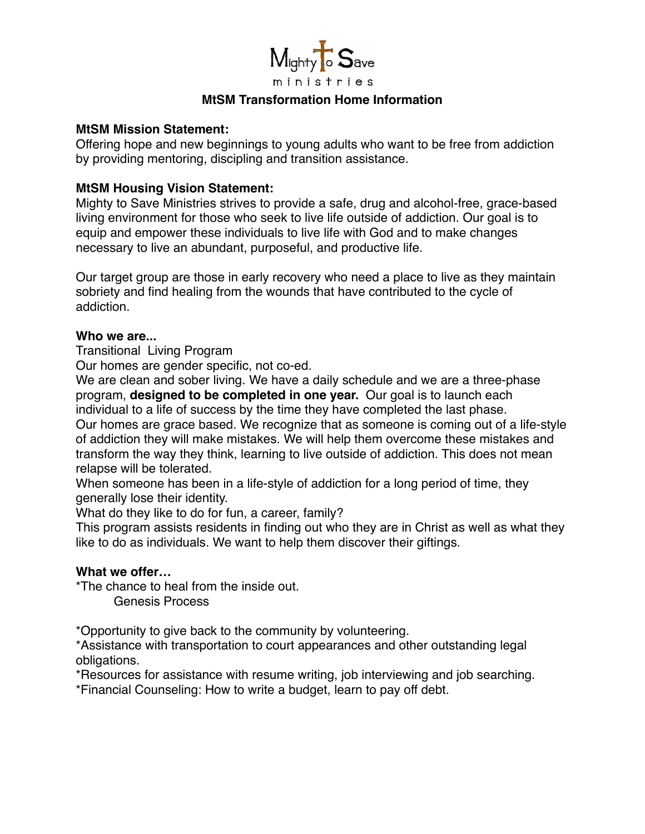

# **MtSM Transformation Home Information**

## **MtSM Mission Statement:**

Offering hope and new beginnings to young adults who want to be free from addiction by providing mentoring, discipling and transition assistance.

## **MtSM Housing Vision Statement:**

Mighty to Save Ministries strives to provide a safe, drug and alcohol-free, grace-based living environment for those who seek to live life outside of addiction. Our goal is to equip and empower these individuals to live life with God and to make changes necessary to live an abundant, purposeful, and productive life.

Our target group are those in early recovery who need a place to live as they maintain sobriety and find healing from the wounds that have contributed to the cycle of addiction.

#### **Who we are...**

Transitional Living Program

Our homes are gender specific, not co-ed.

We are clean and sober living. We have a daily schedule and we are a three-phase program, **designed to be completed in one year.** Our goal is to launch each individual to a life of success by the time they have completed the last phase.

Our homes are grace based. We recognize that as someone is coming out of a life-style of addiction they will make mistakes. We will help them overcome these mistakes and transform the way they think, learning to live outside of addiction. This does not mean relapse will be tolerated.

When someone has been in a life-style of addiction for a long period of time, they generally lose their identity.

What do they like to do for fun, a career, family?

This program assists residents in finding out who they are in Christ as well as what they like to do as individuals. We want to help them discover their giftings.

#### **What we offer…**

\*The chance to heal from the inside out.

Genesis Process

\*Opportunity to give back to the community by volunteering.

\*Assistance with transportation to court appearances and other outstanding legal obligations.

\*Resources for assistance with resume writing, job interviewing and job searching.

\*Financial Counseling: How to write a budget, learn to pay off debt.